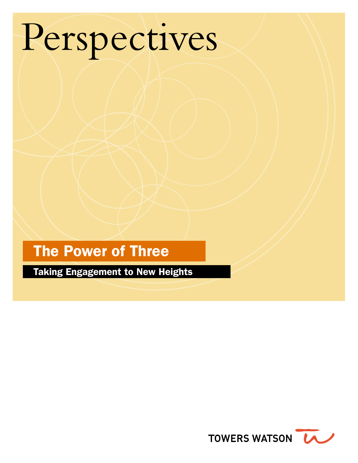# Perspectives

# The Power of Three

Taking Engagement to New Heights

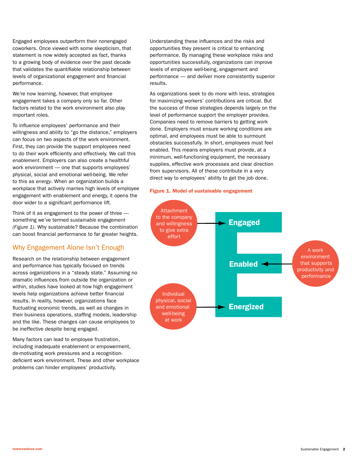Engaged employees outperform their nonengaged coworkers. Once viewed with some skepticism, that statement is now widely accepted as fact, thanks to a growing body of evidence over the past decade that validates the quantifiable relationship between levels of organizational engagement and financial performance.

We're now learning, however, that employee engagement takes a company only so far. Other factors related to the work environment also play important roles.

To influence employees' performance and their willingness and ability to "go the distance," employers can focus on two aspects of the work environment. First, they can provide the support employees need to do their work efficiently and effectively. We call this *enablement*. Employers can also create a healthful work environment — one that supports employees' physical, social and emotional well-being. We refer to this as *energy*. When an organization builds a workplace that actively marries high levels of employee engagement with enablement and energy, it opens the door wider to a significant performance lift.

Think of it as engagement to the power of three something we've termed *sustainable engagement (Figure 1)*. Why sustainable? Because the combination can boost financial performance to far greater heights.

#### Why Engagement Alone Isn't Enough

Research on the relationship between engagement and performance has typically focused on trends across organizations in a "steady state." Assuming no dramatic influences from outside the organization or within, studies have looked at how high engagement levels help organizations achieve better financial results. In reality, however, organizations face fluctuating economic trends, as well as changes in their business operations, staffing models, leadership and the like. These changes can cause employees to be ineffective despite being engaged.

Many factors can lead to employee frustration, including inadequate enablement or empowerment, de-motivating work pressures and a recognitiondeficient work environment. These and other workplace problems can hinder employees' productivity.

Understanding these influences and the risks and opportunities they present is critical to enhancing performance. By managing these workplace risks and opportunities successfully, organizations can improve levels of employee well-being, engagement and performance — and deliver more consistently superior results.

As organizations seek to do more with less, strategies for maximizing workers' contributions are critical. But the success of those strategies depends largely on the level of performance support the employer provides. Companies need to remove barriers to getting work done. Employers must ensure working conditions are optimal, and employees must be able to surmount obstacles successfully. In short, employees must feel enabled. This means employers must provide, at a minimum, well-functioning equipment, the necessary supplies, effective work processes and clear direction from supervisors. All of these contribute in a very direct way to employees' ability to get the job done.

#### Figure 1. Model of sustainable engagement

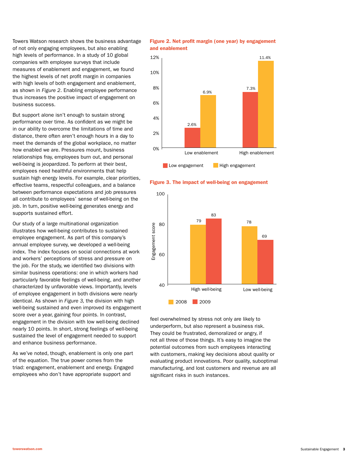Towers Watson research shows the business advantage of not only engaging employees, but also enabling high levels of performance. In a study of 10 global companies with employee surveys that include measures of enablement and engagement, we found the highest levels of net profit margin in companies with high levels of both engagement and enablement, as shown in *Figure 2*. Enabling employee performance thus increases the positive impact of engagement on business success.

But support alone isn't enough to sustain strong performance over time. As confident as we might be in our ability to overcome the limitations of time and distance, there often aren't enough hours in a day to meet the demands of the global workplace, no matter how enabled we are. Pressures mount, business relationships fray, employees burn out, and personal well-being is jeopardized. To perform at their best, employees need healthful environments that help sustain high energy levels. For example, clear priorities, effective teams, respectful colleagues, and a balance between performance expectations and job pressures all contribute to employees' sense of well-being on the job. In turn, positive well-being generates energy and supports sustained effort.

Our study of a large multinational organization illustrates how well-being contributes to sustained employee engagement. As part of this company's annual employee survey, we developed a well-being index. The index focuses on social connections at work and workers' perceptions of stress and pressure on the job. For the study, we identified two divisions with similar business operations: one in which workers had particularly favorable feelings of well-being, and another characterized by unfavorable views. Importantly, levels of employee engagement in both divisions were nearly identical. As shown in *Figure 3,* the division with high well-being sustained and even improved its engagement score over a year, gaining four points. In contrast, engagement in the division with low well-being declined nearly 10 points. In short, strong feelings of well-being sustained the level of engagement needed to support and enhance business performance.

As we've noted, though, enablement is only one part of the equation. The true power comes from the triad: engagement, enablement and energy. Engaged employees who don't have appropriate support and

#### Figure 2. Net profit margin (one year) by engagement and enablement







feel overwhelmed by stress not only are likely to underperform, but also represent a business risk. They could be frustrated, demoralized or angry, if not all three of those things. It's easy to imagine the potential outcomes from such employees interacting with customers, making key decisions about quality or evaluating product innovations. Poor quality, suboptimal manufacturing, and lost customers and revenue are all significant risks in such instances.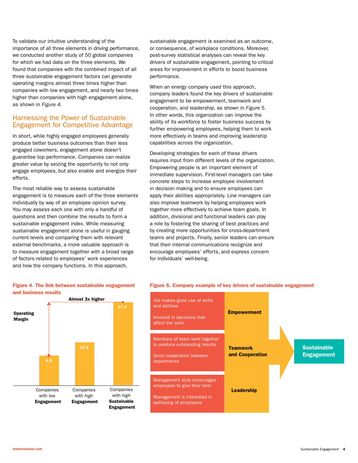To validate our intuitive understanding of the importance of all three elements in driving performance, we conducted another study of 50 global companies for which we had data on the three elements. We found that companies with the combined impact of all three sustainable engagement factors can generate operating margins almost three times higher than companies with low engagement, and nearly two times higher than companies with high engagement alone, as shown in *Figure 4.*

#### Harnessing the Power of Sustainable Engagement for Competitive Advantage

In short, while highly engaged employees generally produce better business outcomes than their less engaged coworkers, engagement alone doesn't guarantee top performance. Companies can realize greater value by seizing the opportunity to not only engage employees, but also enable and energize their efforts.

The most reliable way to assess sustainable engagement is to measure each of the three elements individually by way of an employee opinion survey. You may assess each one with only a handful of questions and then combine the results to form a sustainable engagement index. While measuring sustainable engagement alone is useful in gauging current levels and comparing them with relevant external benchmarks, a more valuable approach is to measure engagement together with a broad range of factors related to employees' work experiences and how the company functions. In this approach,

sustainable engagement is examined as an outcome, or consequence, of workplace conditions. Moreover, post-survey statistical analyses can reveal the key drivers of sustainable engagement, pointing to critical areas for improvement in efforts to boost business performance.

When an energy company used this approach, company leaders found the key drivers of sustainable engagement to be empowerment, teamwork and cooperation, and leadership, as shown in *Figure 5*. In other words, this organization can improve the ability of its workforce to foster business success by further empowering employees, helping them to work more effectively in teams and improving leadership capabilities across the organization.

Developing strategies for each of these drivers requires input from different levels of the organization. Empowering people is an important element of immediate supervision. First-level managers can take concrete steps to increase employee involvement in decision making and to ensure employees can apply their abilities appropriately. Line managers can also improve teamwork by helping employees work together more effectively to achieve team goals. In addition, divisional and functional leaders can play a role by fostering the sharing of best practices and by creating more opportunities for cross-department teams and projects. Finally, senior leaders can ensure that their internal communications recognize and encourage employees' efforts, and express concern for individuals' well-being.



#### Figure 4. The link between sustainable engagement and business results

#### **Sustainable** Engagement Empowerment **Teamwork** and Cooperation **Leadership** Job makes good use of skills and abilities Involved in decisions that affect the work Members of team work together to produce outstanding results Good cooperation between departments Management style encourages employees to give their best Management is interested in well-being of employees

Figure 5. Company example of key drivers of sustainable engagement